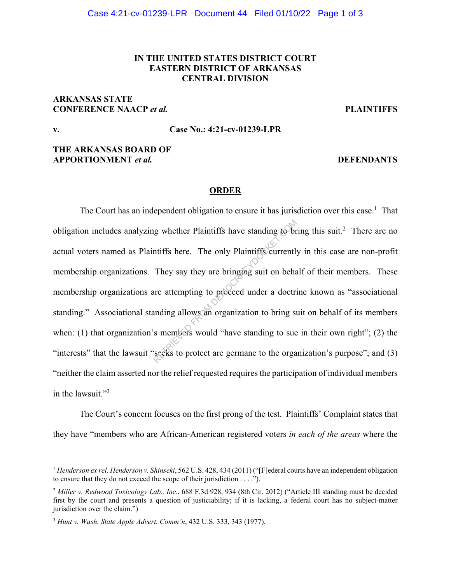# **IN THE UNITED STATES DISTRICT COURT EASTERN DISTRICT OF ARKANSAS CENTRAL DIVISION**

## **ARKANSAS STATE CONFERENCE NAACP** *et al.* **PLAINTIFFS**

# **v. Case No.: 4:21-cv-01239-LPR**

## **THE ARKANSAS BOARD OF APPORTIONMENT** *et al.* **DEFENDANTS**

## **ORDER**

The Court has an independent obligation to ensure it has jurisdiction over this case.<sup>1</sup> That obligation includes analyzing whether Plaintiffs have standing to bring this suit.<sup>2</sup> There are no actual voters named as Plaintiffs here. The only Plaintiffs currently in this case are non-profit membership organizations. They say they are bringing suit on behalf of their members. These membership organizations are attempting to proceed under a doctrine known as "associational standing." Associational standing allows an organization to bring suit on behalf of its members when: (1) that organization's members would "have standing to sue in their own right"; (2) the "interests" that the lawsuit "seeks to protect are germane to the organization's purpose"; and (3) "neither the claim asserted nor the relief requested requires the participation of individual members in the lawsuit."<sup>3</sup> required whether Plaintiffs have standing to br<br>multifs here. The only Plaintiffs currentl<br>They say they are bringing suit on beha<br>are attempting to proceed under a doctri-<br>anding allows and organization to bring st<br>smembe

The Court's concern focuses on the first prong of the test. Plaintiffs' Complaint states that they have "members who are African-American registered voters *in each of the areas* where the

<sup>&</sup>lt;sup>1</sup> *Henderson ex rel. Henderson v. Shinseki*, 562 U.S. 428, 434 (2011) ("[F]ederal courts have an independent obligation to ensure that they do not exceed the scope of their jurisdiction . . . .").

<sup>2</sup> *Miller v. Redwood Toxicology Lab., Inc.*, 688 F.3d 928, 934 (8th Cir. 2012) ("Article III standing must be decided first by the court and presents a question of justiciability; if it is lacking, a federal court has no subject-matter jurisdiction over the claim.")

<sup>3</sup> *Hunt v. Wash. State Apple Advert. Comm'n*, 432 U.S. 333, 343 (1977).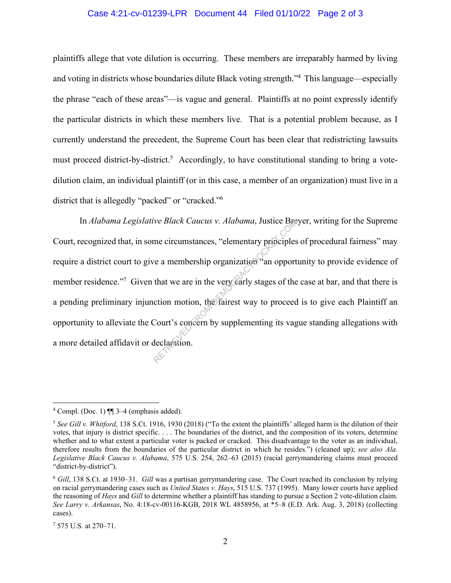#### Case 4:21-cv-01239-LPR Document 44 Filed 01/10/22 Page 2 of 3

plaintiffs allege that vote dilution is occurring. These members are irreparably harmed by living and voting in districts whose boundaries dilute Black voting strength."<sup>4</sup> This language—especially the phrase "each of these areas"—is vague and general. Plaintiffs at no point expressly identify the particular districts in which these members live. That is a potential problem because, as I currently understand the precedent, the Supreme Court has been clear that redistricting lawsuits must proceed district-by-district.<sup>5</sup> Accordingly, to have constitutional standing to bring a votedilution claim, an individual plaintiff (or in this case, a member of an organization) must live in a district that is allegedly "packed" or "cracked."<sup>6</sup>

In *Alabama Legislative Black Caucus v. Alabama*, Justice Breyer, writing for the Supreme Court, recognized that, in some circumstances, "elementary principles of procedural fairness" may require a district court to give a membership organization an opportunity to provide evidence of member residence."<sup>7</sup> Given that we are in the very early stages of the case at bar, and that there is a pending preliminary injunction motion, the fairest way to proceed is to give each Plaintiff an opportunity to alleviate the Court's concern by supplementing its vague standing allegations with a more detailed affidavit or declaration. We Black Caucus v. Alabama, Justice Bre<br>
me circumstances, "elementary principles<br>
ve a membership organization and opport<br>
that we are in the very early stages of the<br>
ction motion, the fairest way to proceed<br>
Court's con

<sup>&</sup>lt;sup>4</sup> Compl. (Doc. 1)  $\P$  3–4 (emphasis added).

<sup>5</sup> *See Gill v. Whitford*, 138 S.Ct. 1916, 1930 (2018) ("To the extent the plaintiffs' alleged harm is the dilution of their votes, that injury is district specific. . . . The boundaries of the district, and the composition of its voters, determine whether and to what extent a particular voter is packed or cracked. This disadvantage to the voter as an individual, therefore results from the boundaries of the particular district in which he resides.") (cleaned up); *see also Ala. Legislative Black Caucus v. Alabama*, 575 U.S. 254, 262–63 (2015) (racial gerrymandering claims must proceed "district-by-district").

<sup>6</sup> *Gill*, 138 S.Ct. at 1930–31. *Gill* was a partisan gerrymandering case. The Court reached its conclusion by relying on racial gerrymandering cases such as *United States v. Hays*, 515 U.S. 737 (1995). Many lower courts have applied the reasoning of *Hays* and *Gill* to determine whether a plaintiff has standing to pursue a Section 2 vote-dilution claim. *See Larry v. Arkansas*, No. 4:18-cv-00116-KGB, 2018 WL 4858956, at \*5–8 (E.D. Ark. Aug. 3, 2018) (collecting cases).

<sup>7</sup> 575 U.S. at 270–71.